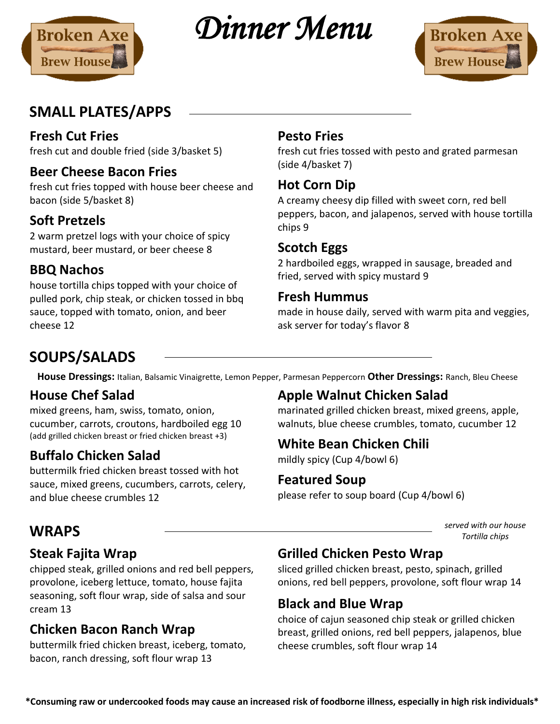

*Dinner Menu* 



# **SMALL PLATES/APPS**

## **Fresh Cut Fries**

fresh cut and double fried (side 3/basket 5)

## **Beer Cheese Bacon Fries**

fresh cut fries topped with house beer cheese and bacon (side 5/basket 8)

## **Soft Pretzels**

2 warm pretzel logs with your choice of spicy mustard, beer mustard, or beer cheese 8

## **BBQ Nachos**

house tortilla chips topped with your choice of pulled pork, chip steak, or chicken tossed in bbq sauce, topped with tomato, onion, and beer cheese 12

## **Pesto Fries**

fresh cut fries tossed with pesto and grated parmesan (side 4/basket 7)

## **Hot Corn Dip**

A creamy cheesy dip filled with sweet corn, red bell peppers, bacon, and jalapenos, served with house tortilla chips 9

## **Scotch Eggs**

2 hardboiled eggs, wrapped in sausage, breaded and fried, served with spicy mustard 9

#### **Fresh Hummus**

made in house daily, served with warm pita and veggies, ask server for today's flavor 8

# **SOUPS/SALADS**

**House Dressings:** Italian, Balsamic Vinaigrette, Lemon Pepper, Parmesan Peppercorn **Other Dressings:** Ranch, Bleu Cheese

## **House Chef Salad**

mixed greens, ham, swiss, tomato, onion, cucumber, carrots, croutons, hardboiled egg 10 (add grilled chicken breast or fried chicken breast +3)

## **Buffalo Chicken Salad**

buttermilk fried chicken breast tossed with hot sauce, mixed greens, cucumbers, carrots, celery, and blue cheese crumbles 12

## **Apple Walnut Chicken Salad**

marinated grilled chicken breast, mixed greens, apple, walnuts, blue cheese crumbles, tomato, cucumber 12

## **White Bean Chicken Chili**

mildly spicy (Cup 4/bowl 6)

### **Featured Soup**

please refer to soup board (Cup 4/bowl 6)

**WRAPS** *served with our house Tortilla chips*

## **Steak Fajita Wrap**

chipped steak, grilled onions and red bell peppers, provolone, iceberg lettuce, tomato, house fajita seasoning, soft flour wrap, side of salsa and sour cream 13

## **Chicken Bacon Ranch Wrap**

buttermilk fried chicken breast, iceberg, tomato, bacon, ranch dressing, soft flour wrap 13

## **Grilled Chicken Pesto Wrap**

sliced grilled chicken breast, pesto, spinach, grilled onions, red bell peppers, provolone, soft flour wrap 14

## **Black and Blue Wrap**

choice of cajun seasoned chip steak or grilled chicken breast, grilled onions, red bell peppers, jalapenos, blue cheese crumbles, soft flour wrap 14